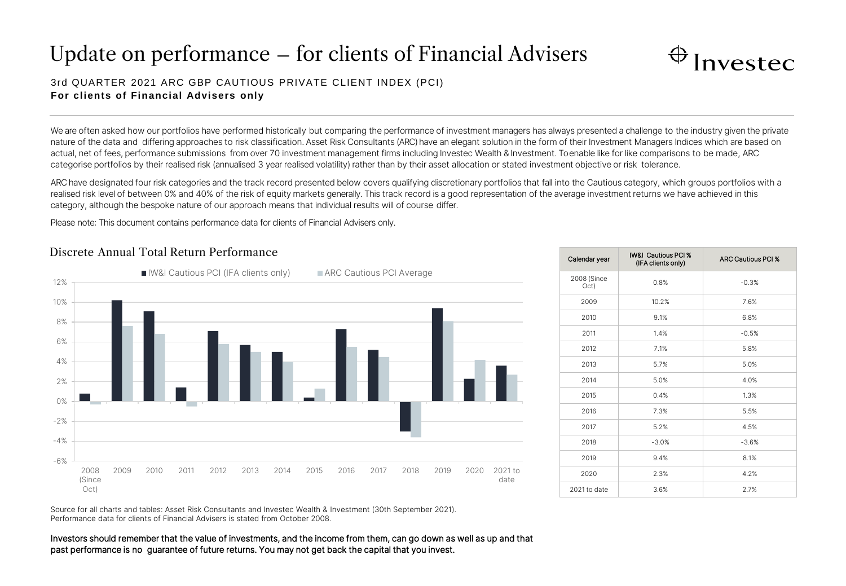# Update on performance – for clients of Financial Advisers



### 3rd QUARTER 2021 ARC GBP CAUTIOUS PRIVATE CLIENT INDEX (PCI) **For clients of Financial Advisers only**

We are often asked how our portfolios have performed historically but comparing the performance of investment managers has always presented a challenge to the industry given the private nature of the data and differing approaches to risk classification. Asset Risk Consultants (ARC) have an elegant solution in the form of their Investment Managers Indices which are based on actual, net of fees, performance submissions from over 70 investment management firms including Investec Wealth & Investment. To enable like for like comparisons to be made, ARC categorise portfolios by their realised risk (annualised 3 year realised volatility) rather than by their asset allocation or stated investment objective or risk tolerance.

ARC have designated four risk categories and the track record presented below covers qualifying discretionary portfolios that fall into the Cautious category, which groups portfolios with a realised risk level of between 0% and 40% of the risk of equity markets generally. This track record is a good representation of the average investment returns we have achieved in this category, although the bespoke nature of our approach means that individual results will of course differ.

Please note: This document contains performance data for clients of Financial Advisers only.

## -6% -4% -2% 0% 2% 4% 6% 8% 10% 12% 2008 (Since Oct) 2009 2010 2011 2012 2013 2014 2015 2016 2017 2018 2019 2020 2021 to date ■IW&I Cautious PCI (IFA clients only) ■ ARC Cautious PCI Average

| Calendar year       | IW&I Cautious PCI %<br>(IFA clients only) | <b>ARC Cautious PCI %</b> |
|---------------------|-------------------------------------------|---------------------------|
| 2008 (Since<br>Oct) | 0.8%                                      | $-0.3%$                   |
| 2009                | 10.2%                                     | 7.6%                      |
| 2010                | 9.1%                                      | 6.8%                      |
| 2011                | 1.4%                                      | $-0.5%$                   |
| 2012                | 7.1%                                      | 5.8%                      |
| 2013                | 5.7%                                      | 5.0%                      |
| 2014                | 5.0%                                      | 4.0%                      |
| 2015                | 0.4%                                      | 1.3%                      |
| 2016                | 7.3%                                      | 5.5%                      |
| 2017                | 5.2%                                      | 4.5%                      |
| 2018                | $-3.0%$                                   | $-3.6%$                   |
| 2019                | 9.4%                                      | 8.1%                      |
| 2020                | 2.3%                                      | 4.2%                      |
| 2021 to date        | 3.6%                                      | 2.7%                      |

Source for all charts and tables: Asset Risk Consultants and Investec Wealth & Investment (30th September 2021). Performance data for clients of Financial Advisers is stated from October 2008.

Investors should remember that the value of investments, and the income from them, can go down as well as up and that past performance is no guarantee of future returns. You may not get back the capital that you invest.